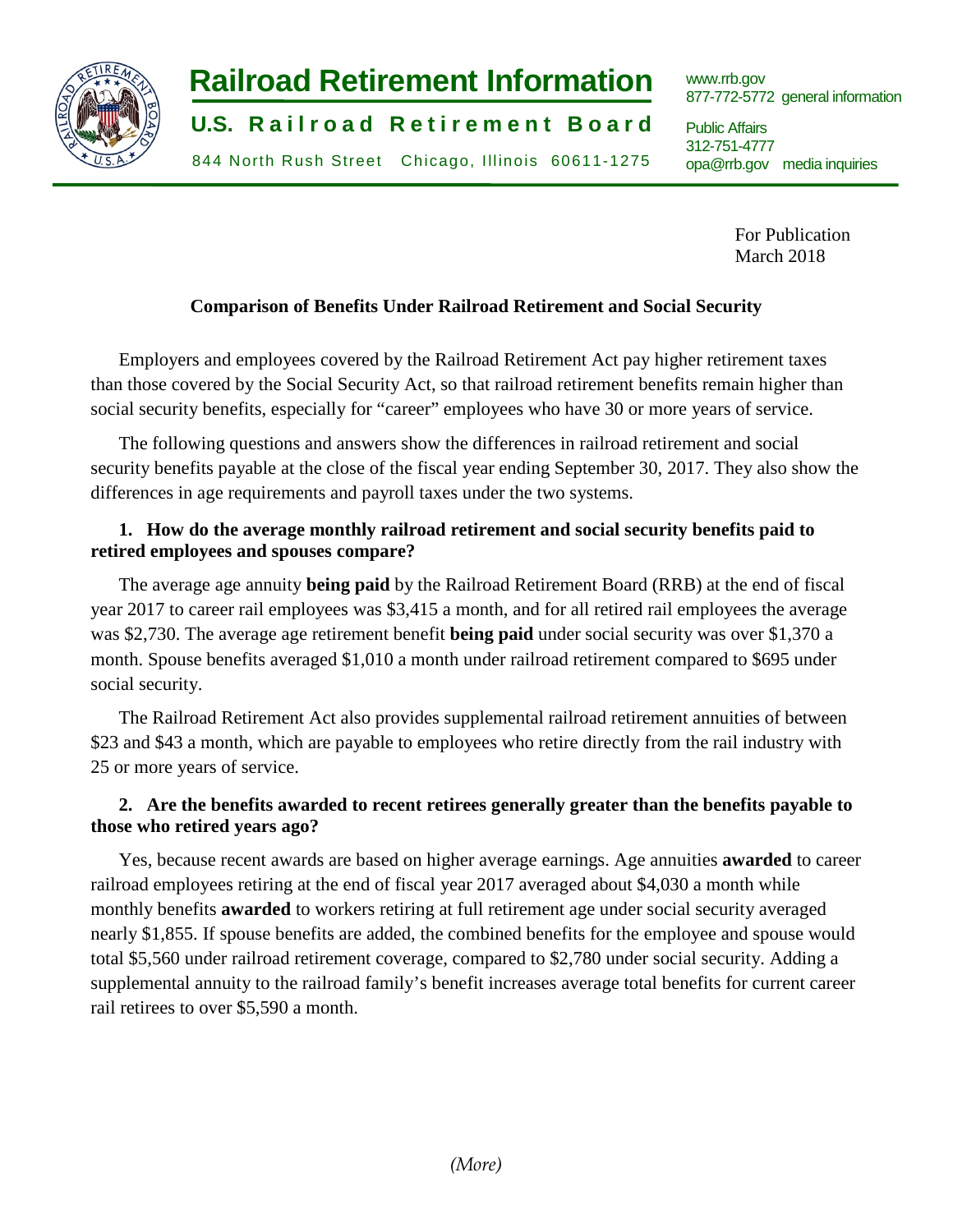

# **Railroad Retirement Information**

**U.S. Railroad Retirement Board** 

844 North Rush Street Chicago, Illinois 60611-1275

www.rrb.gov 877-772-5772 general information

Public Affairs 312-751-4777 opa@rrb.gov media inquiries

> For Publication March 2018

# **Comparison of Benefits Under Railroad Retirement and Social Security**

Employers and employees covered by the Railroad Retirement Act pay higher retirement taxes than those covered by the Social Security Act, so that railroad retirement benefits remain higher than social security benefits, especially for "career" employees who have 30 or more years of service.

The following questions and answers show the differences in railroad retirement and social security benefits payable at the close of the fiscal year ending September 30, 2017. They also show the differences in age requirements and payroll taxes under the two systems.

# **1. How do the average monthly railroad retirement and social security benefits paid to retired employees and spouses compare?**

The average age annuity **being paid** by the Railroad Retirement Board (RRB) at the end of fiscal year 2017 to career rail employees was \$3,415 a month, and for all retired rail employees the average was \$2,730. The average age retirement benefit **being paid** under social security was over \$1,370 a month. Spouse benefits averaged \$1,010 a month under railroad retirement compared to \$695 under social security.

The Railroad Retirement Act also provides supplemental railroad retirement annuities of between \$23 and \$43 a month, which are payable to employees who retire directly from the rail industry with 25 or more years of service.

# **2. Are the benefits awarded to recent retirees generally greater than the benefits payable to those who retired years ago?**

Yes, because recent awards are based on higher average earnings. Age annuities **awarded** to career railroad employees retiring at the end of fiscal year 2017 averaged about \$4,030 a month while monthly benefits **awarded** to workers retiring at full retirement age under social security averaged nearly \$1,855. If spouse benefits are added, the combined benefits for the employee and spouse would total \$5,560 under railroad retirement coverage, compared to \$2,780 under social security. Adding a supplemental annuity to the railroad family's benefit increases average total benefits for current career rail retirees to over \$5,590 a month.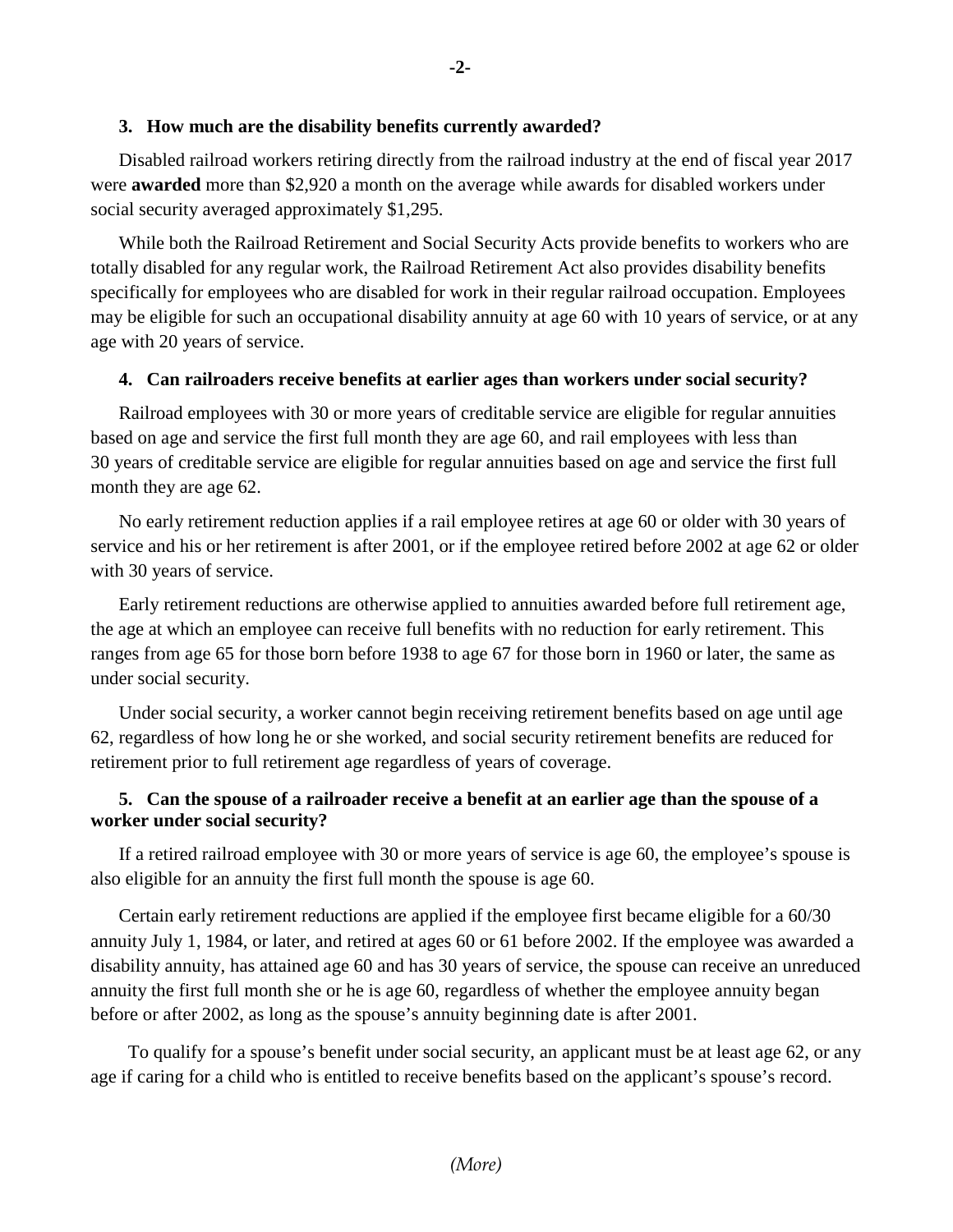## **3. How much are the disability benefits currently awarded?**

Disabled railroad workers retiring directly from the railroad industry at the end of fiscal year 2017 were **awarded** more than \$2,920 a month on the average while awards for disabled workers under social security averaged approximately \$1,295.

While both the Railroad Retirement and Social Security Acts provide benefits to workers who are totally disabled for any regular work, the Railroad Retirement Act also provides disability benefits specifically for employees who are disabled for work in their regular railroad occupation. Employees may be eligible for such an occupational disability annuity at age 60 with 10 years of service, or at any age with 20 years of service.

#### **4. Can railroaders receive benefits at earlier ages than workers under social security?**

Railroad employees with 30 or more years of creditable service are eligible for regular annuities based on age and service the first full month they are age 60, and rail employees with less than 30 years of creditable service are eligible for regular annuities based on age and service the first full month they are age 62.

No early retirement reduction applies if a rail employee retires at age 60 or older with 30 years of service and his or her retirement is after 2001, or if the employee retired before 2002 at age 62 or older with 30 years of service.

Early retirement reductions are otherwise applied to annuities awarded before full retirement age, the age at which an employee can receive full benefits with no reduction for early retirement. This ranges from age 65 for those born before 1938 to age 67 for those born in 1960 or later, the same as under social security.

Under social security, a worker cannot begin receiving retirement benefits based on age until age 62, regardless of how long he or she worked, and social security retirement benefits are reduced for retirement prior to full retirement age regardless of years of coverage.

## **5. Can the spouse of a railroader receive a benefit at an earlier age than the spouse of a worker under social security?**

If a retired railroad employee with 30 or more years of service is age 60, the employee's spouse is also eligible for an annuity the first full month the spouse is age 60.

Certain early retirement reductions are applied if the employee first became eligible for a 60/30 annuity July 1, 1984, or later, and retired at ages 60 or 61 before 2002. If the employee was awarded a disability annuity, has attained age 60 and has 30 years of service, the spouse can receive an unreduced annuity the first full month she or he is age 60, regardless of whether the employee annuity began before or after 2002, as long as the spouse's annuity beginning date is after 2001.

 To qualify for a spouse's benefit under social security, an applicant must be at least age 62, or any age if caring for a child who is entitled to receive benefits based on the applicant's spouse's record.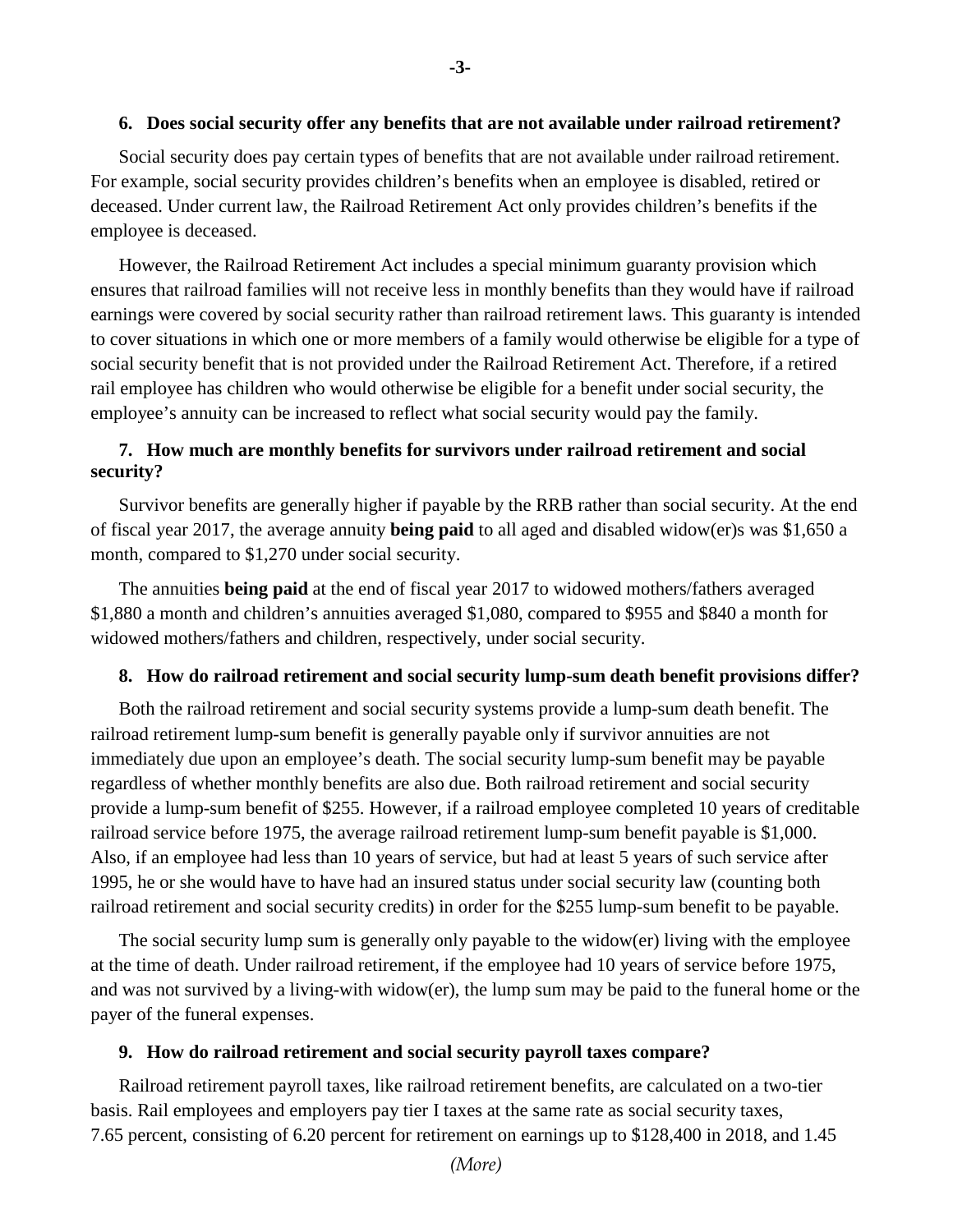### **6. Does social security offer any benefits that are not available under railroad retirement?**

Social security does pay certain types of benefits that are not available under railroad retirement. For example, social security provides children's benefits when an employee is disabled, retired or deceased. Under current law, the Railroad Retirement Act only provides children's benefits if the employee is deceased.

However, the Railroad Retirement Act includes a special minimum guaranty provision which ensures that railroad families will not receive less in monthly benefits than they would have if railroad earnings were covered by social security rather than railroad retirement laws. This guaranty is intended to cover situations in which one or more members of a family would otherwise be eligible for a type of social security benefit that is not provided under the Railroad Retirement Act. Therefore, if a retired rail employee has children who would otherwise be eligible for a benefit under social security, the employee's annuity can be increased to reflect what social security would pay the family.

## **7. How much are monthly benefits for survivors under railroad retirement and social security?**

Survivor benefits are generally higher if payable by the RRB rather than social security. At the end of fiscal year 2017, the average annuity **being paid** to all aged and disabled widow(er)s was \$1,650 a month, compared to \$1,270 under social security.

The annuities **being paid** at the end of fiscal year 2017 to widowed mothers/fathers averaged \$1,880 a month and children's annuities averaged \$1,080, compared to \$955 and \$840 a month for widowed mothers/fathers and children, respectively, under social security.

## **8. How do railroad retirement and social security lump-sum death benefit provisions differ?**

Both the railroad retirement and social security systems provide a lump-sum death benefit. The railroad retirement lump-sum benefit is generally payable only if survivor annuities are not immediately due upon an employee's death. The social security lump-sum benefit may be payable regardless of whether monthly benefits are also due. Both railroad retirement and social security provide a lump-sum benefit of \$255. However, if a railroad employee completed 10 years of creditable railroad service before 1975, the average railroad retirement lump-sum benefit payable is \$1,000. Also, if an employee had less than 10 years of service, but had at least 5 years of such service after 1995, he or she would have to have had an insured status under social security law (counting both railroad retirement and social security credits) in order for the \$255 lump-sum benefit to be payable.

The social security lump sum is generally only payable to the widow(er) living with the employee at the time of death. Under railroad retirement, if the employee had 10 years of service before 1975, and was not survived by a living-with widow(er), the lump sum may be paid to the funeral home or the payer of the funeral expenses.

#### **9. How do railroad retirement and social security payroll taxes compare?**

Railroad retirement payroll taxes, like railroad retirement benefits, are calculated on a two-tier basis. Rail employees and employers pay tier I taxes at the same rate as social security taxes, 7.65 percent, consisting of 6.20 percent for retirement on earnings up to \$128,400 in 2018, and 1.45

*(More)*